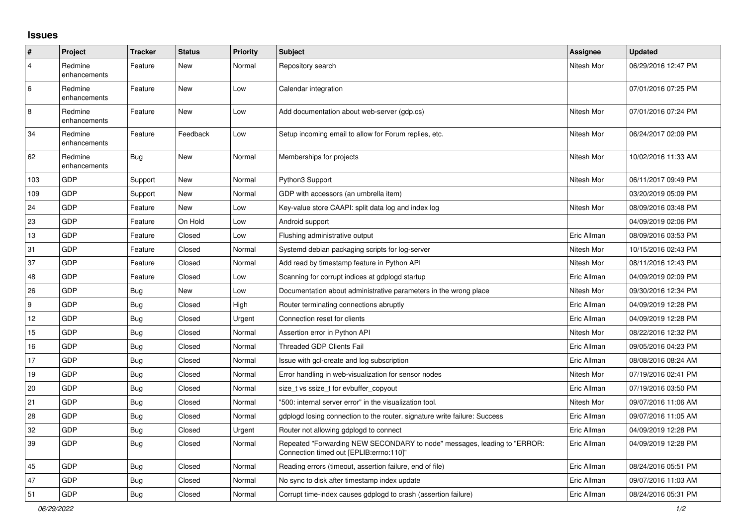## **Issues**

| #   | Project                 | <b>Tracker</b> | <b>Status</b> | <b>Priority</b> | <b>Subject</b>                                                                                                      | <b>Assignee</b> | Updated             |
|-----|-------------------------|----------------|---------------|-----------------|---------------------------------------------------------------------------------------------------------------------|-----------------|---------------------|
| 4   | Redmine<br>enhancements | Feature        | New           | Normal          | Repository search                                                                                                   | Nitesh Mor      | 06/29/2016 12:47 PM |
| 6   | Redmine<br>enhancements | Feature        | New           | Low             | Calendar integration                                                                                                |                 | 07/01/2016 07:25 PM |
| 8   | Redmine<br>enhancements | Feature        | New           | Low             | Add documentation about web-server (gdp.cs)                                                                         | Nitesh Mor      | 07/01/2016 07:24 PM |
| 34  | Redmine<br>enhancements | Feature        | Feedback      | Low             | Setup incoming email to allow for Forum replies, etc.                                                               | Nitesh Mor      | 06/24/2017 02:09 PM |
| 62  | Redmine<br>enhancements | <b>Bug</b>     | <b>New</b>    | Normal          | Memberships for projects                                                                                            | Nitesh Mor      | 10/02/2016 11:33 AM |
| 103 | GDP                     | Support        | New           | Normal          | Python3 Support                                                                                                     | Nitesh Mor      | 06/11/2017 09:49 PM |
| 109 | GDP                     | Support        | New           | Normal          | GDP with accessors (an umbrella item)                                                                               |                 | 03/20/2019 05:09 PM |
| 24  | GDP                     | Feature        | <b>New</b>    | Low             | Key-value store CAAPI: split data log and index log                                                                 | Nitesh Mor      | 08/09/2016 03:48 PM |
| 23  | GDP                     | Feature        | On Hold       | Low             | Android support                                                                                                     |                 | 04/09/2019 02:06 PM |
| 13  | <b>GDP</b>              | Feature        | Closed        | Low             | Flushing administrative output                                                                                      | Eric Allman     | 08/09/2016 03:53 PM |
| 31  | GDP                     | Feature        | Closed        | Normal          | Systemd debian packaging scripts for log-server                                                                     | Nitesh Mor      | 10/15/2016 02:43 PM |
| 37  | GDP                     | Feature        | Closed        | Normal          | Add read by timestamp feature in Python API                                                                         | Nitesh Mor      | 08/11/2016 12:43 PM |
| 48  | GDP                     | Feature        | Closed        | Low             | Scanning for corrupt indices at gdplogd startup                                                                     | Eric Allman     | 04/09/2019 02:09 PM |
| 26  | GDP                     | Bug            | New           | Low             | Documentation about administrative parameters in the wrong place                                                    | Nitesh Mor      | 09/30/2016 12:34 PM |
| 9   | GDP                     | Bug            | Closed        | High            | Router terminating connections abruptly                                                                             | Eric Allman     | 04/09/2019 12:28 PM |
| 12  | GDP                     | Bug            | Closed        | Urgent          | Connection reset for clients                                                                                        | Eric Allman     | 04/09/2019 12:28 PM |
| 15  | GDP                     | <b>Bug</b>     | Closed        | Normal          | Assertion error in Python API                                                                                       | Nitesh Mor      | 08/22/2016 12:32 PM |
| 16  | GDP                     | Bug            | Closed        | Normal          | <b>Threaded GDP Clients Fail</b>                                                                                    | Eric Allman     | 09/05/2016 04:23 PM |
| 17  | GDP                     | <b>Bug</b>     | Closed        | Normal          | Issue with gcl-create and log subscription                                                                          | Eric Allman     | 08/08/2016 08:24 AM |
| 19  | GDP                     | <b>Bug</b>     | Closed        | Normal          | Error handling in web-visualization for sensor nodes                                                                | Nitesh Mor      | 07/19/2016 02:41 PM |
| 20  | GDP                     | Bug            | Closed        | Normal          | size t vs ssize t for evbuffer copyout                                                                              | Eric Allman     | 07/19/2016 03:50 PM |
| 21  | GDP                     | Bug            | Closed        | Normal          | '500: internal server error" in the visualization tool.                                                             | Nitesh Mor      | 09/07/2016 11:06 AM |
| 28  | GDP                     | Bug            | Closed        | Normal          | gdplogd losing connection to the router, signature write failure: Success                                           | Eric Allman     | 09/07/2016 11:05 AM |
| 32  | GDP                     | <b>Bug</b>     | Closed        | Urgent          | Router not allowing gdplogd to connect                                                                              | Eric Allman     | 04/09/2019 12:28 PM |
| 39  | GDP                     | Bug            | Closed        | Normal          | Repeated "Forwarding NEW SECONDARY to node" messages, leading to "ERROR:<br>Connection timed out [EPLIB:errno:110]" | Eric Allman     | 04/09/2019 12:28 PM |
| 45  | GDP                     | <b>Bug</b>     | Closed        | Normal          | Reading errors (timeout, assertion failure, end of file)                                                            | Eric Allman     | 08/24/2016 05:51 PM |
| 47  | GDP                     | Bug            | Closed        | Normal          | No sync to disk after timestamp index update                                                                        | Eric Allman     | 09/07/2016 11:03 AM |
| 51  | GDP                     | Bug            | Closed        | Normal          | Corrupt time-index causes gdplogd to crash (assertion failure)                                                      | Eric Allman     | 08/24/2016 05:31 PM |